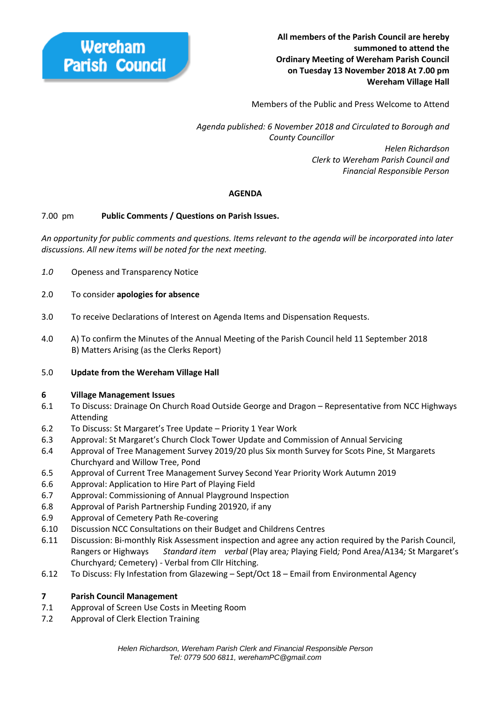

Members of the Public and Press Welcome to Attend

 *Agenda published: 6 November 2018 and Circulated to Borough and County Councillor* 

> *Helen Richardson Clerk to Wereham Parish Council and Financial Responsible Person*

## **AGENDA**

#### 7.00 pm **Public Comments / Questions on Parish Issues.**

*An opportunity for public comments and questions. Items relevant to the agenda will be incorporated into later discussions. All new items will be noted for the next meeting.*

- *1.0* Openess and Transparency Notice
- 2.0 To consider **apologies for absence**
- 3.0 To receive Declarations of Interest on Agenda Items and Dispensation Requests.
- 4.0 A) To confirm the Minutes of the Annual Meeting of the Parish Council held 11 September 2018 B) Matters Arising (as the Clerks Report)
- 5.0 **Update from the Wereham Village Hall**

#### **6 Village Management Issues**

- 6.1 To Discuss: Drainage On Church Road Outside George and Dragon Representative from NCC Highways Attending
- 6.2 To Discuss: St Margaret's Tree Update Priority 1 Year Work
- 6.3 Approval: St Margaret's Church Clock Tower Update and Commission of Annual Servicing
- 6.4 Approval of Tree Management Survey 2019/20 plus Six month Survey for Scots Pine, St Margarets Churchyard and Willow Tree, Pond
- 6.5 Approval of Current Tree Management Survey Second Year Priority Work Autumn 2019
- 6.6 Approval: Application to Hire Part of Playing Field
- 6.7 Approval: Commissioning of Annual Playground Inspection
- 6.8 Approval of Parish Partnership Funding 201920, if any
- 6.9 Approval of Cemetery Path Re-covering
- 6.10 Discussion NCC Consultations on their Budget and Childrens Centres
- 6.11 Discussion: Bi-monthly Risk Assessment inspection and agree any action required by the Parish Council, Rangers or Highways *Standard item verbal* (Play area*;* Playing Field*;* Pond Area/A134*;* St Margaret's Churchyard*;* Cemetery) - Verbal from Cllr Hitching.
- 6.12 To Discuss: Fly Infestation from Glazewing Sept/Oct 18 Email from Environmental Agency

#### **7 Parish Council Management**

- 7.1 Approval of Screen Use Costs in Meeting Room
- 7.2 Approval of Clerk Election Training